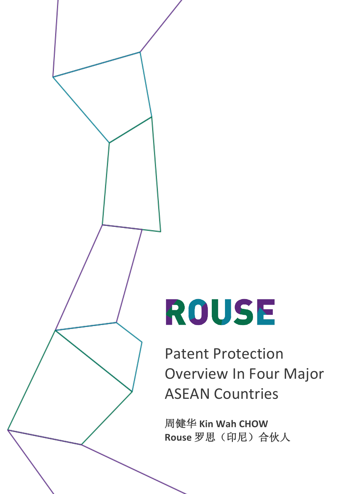# ROUSE

Patent Protection Overview In Four Major ASEAN Countries

周健华 **Kin Wah CHOW Rouse** 罗思(印尼)合伙人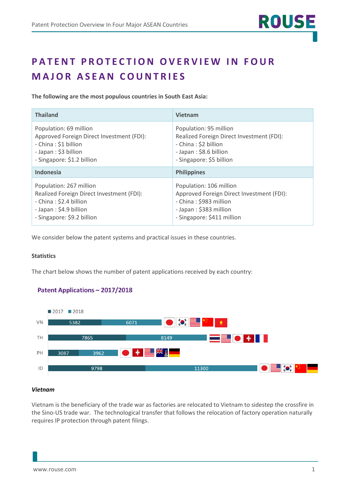# **PATENT PROTECTION OVERVIEW IN FOUR MAJOR ASEAN COUNTRIES**

**The following are the most populous countries in South East Asia:**

| <b>Thailand</b>                           | <b>Vietnam</b>                            |
|-------------------------------------------|-------------------------------------------|
| Population: 69 million                    | Population: 95 million                    |
| Approved Foreign Direct Investment (FDI): | Realized Foreign Direct Investment (FDI): |
| - China: \$1 billion                      | - China: \$2 billion                      |
| - Japan: \$3 billion                      | - Japan: \$8.6 billion                    |
| - Singapore: \$1.2 billion                | - Singapore: \$5 billion                  |
| <b>Indonesia</b>                          | <b>Philippines</b>                        |
| Population: 267 million                   | Population: 106 million                   |
| Realized Foreign Direct Investment (FDI): | Approved Foreign Direct Investment (FDI): |
| - China: \$2.4 billion                    | - China: \$983 million                    |
| - Japan: \$4.9 billion                    | - Japan: \$383 million                    |
| - Singapore: \$9.2 billion                | - Singapore: \$411 million                |

We consider below the patent systems and practical issues in these countries.

# **Statistics**

The chart below shows the number of patent applications received by each country:

# **Patent Applications - 2017/2018**



# *Vietnam*

Vietnam is the beneficiary of the trade war as factories are relocated to Vietnam to sidestep the crossfire in the Sino-US trade war. The technological transfer that follows the relocation of factory operation naturally requires IP protection through patent filings.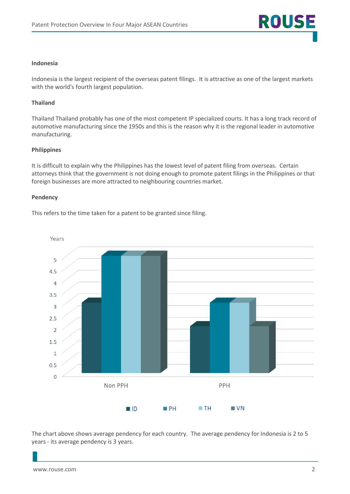### **Indonesia**

Indonesia is the largest recipient of the overseas patent filings. It is attractive as one of the largest markets with the world's fourth largest population.

# **Thailand**

Thailand Thailand probably has one of the most competent IP specialized courts. It has a long track record of automotive manufacturing since the 1950s and this is the reason why it is the regional leader in automotive manufacturing.

#### **Philippines**

It is difficult to explain why the Philippines has the lowest level of patent filing from overseas. Certain attorneys think that the government is not doing enough to promote patent filings in the Philippines or that foreign businesses are more attracted to neighbouring countries market.

#### **Pendency**

This refers to the time taken for a patent to be granted since filing.



The chart above shows average pendency for each country. The average pendency for Indonesia is 2 to 5 years - its average pendency is 3 years.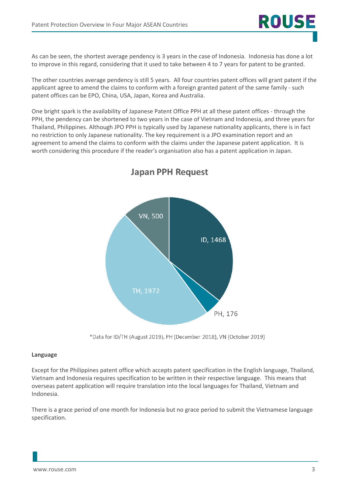As can be seen, the shortest average pendency is 3 years in the case of Indonesia. Indonesia has done a lot to improve in this regard, considering that it used to take between 4 to 7 years for patent to be granted.

**ROUS** 

The other countries average pendency is still 5 years. All four countries patent offices will grant patent if the applicant agree to amend the claims to conform with a foreign granted patent of the same family - such patent offices can be EPO, China, USA, Japan, Korea and Australia.

One bright spark is the availability of Japanese Patent Office PPH at all these patent offices - through the PPH, the pendency can be shortened to two years in the case of Vietnam and Indonesia, and three years for Thailand, Philippines. Although JPO PPH is typically used by Japanese nationality applicants, there is in fact no restriction to only Japanese nationality. The key requirement is a JPO examination report and an agreement to amend the claims to conform with the claims under the Japanese patent application. It is worth considering this procedure if the reader's organisation also has a patent application in Japan.



# **Japan PPH Request**

\*Data for ID/TH (August 2019), PH (December 2018), VN (October 2019)

# **Language**

Except for the Philippines patent office which accepts patent specification in the English language, Thailand, Vietnam and Indonesia requires specification to be written in their respective language. This means that overseas patent application will require translation into the local languages for Thailand, Vietnam and Indonesia.

There is a grace period of one month for Indonesia but no grace period to submit the Vietnamese language specification.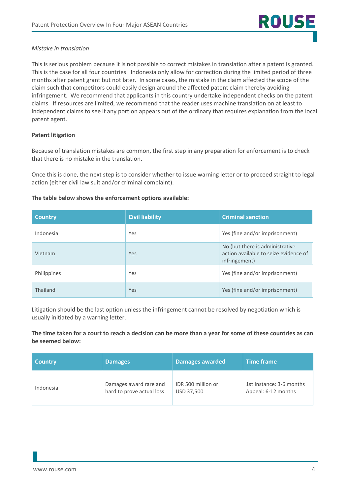# *Mistake in translation*

This is serious problem because it is not possible to correct mistakes in translation after a patent is granted. This is the case for all four countries. Indonesia only allow for correction during the limited period of three months after patent grant but not later. In some cases, the mistake in the claim affected the scope of the claim such that competitors could easily design around the affected patent claim thereby avoiding infringement. We recommend that applicants in this country undertake independent checks on the patent claims. If resources are limited, we recommend that the reader uses machine translation on at least to independent claims to see if any portion appears out of the ordinary that requires explanation from the local patent agent.

# **Patent litigation**

Because of translation mistakes are common, the first step in any preparation for enforcement is to check that there is no mistake in the translation.

Once this is done, the next step is to consider whether to issue warning letter or to proceed straight to legal action (either civil law suit and/or criminal complaint).

# **The table below shows the enforcement options available:**

| <b>Country</b> | <b>Civil liability</b> | <b>Criminal sanction</b>                                                                  |
|----------------|------------------------|-------------------------------------------------------------------------------------------|
| Indonesia      | Yes                    | Yes (fine and/or imprisonment)                                                            |
| Vietnam        | Yes                    | No (but there is administrative<br>action available to seize evidence of<br>infringement) |
| Philippines    | Yes                    | Yes (fine and/or imprisonment)                                                            |
| Thailand       | Yes                    | Yes (fine and/or imprisonment)                                                            |

Litigation should be the last option unless the infringement cannot be resolved by negotiation which is usually initiated by a warning letter.

## **The time taken for a court to reach a decision can be more than a year for some of these countries as can be seemed below:**

| <b>Country</b> | <b>Damages</b>            | <b>Damages awarded</b> | <b>Time frame</b>        |
|----------------|---------------------------|------------------------|--------------------------|
| Indonesia      | Damages award rare and    | IDR 500 million or     | 1st Instance: 3-6 months |
|                | hard to prove actual loss | USD 37,500             | Appeal: 6-12 months      |